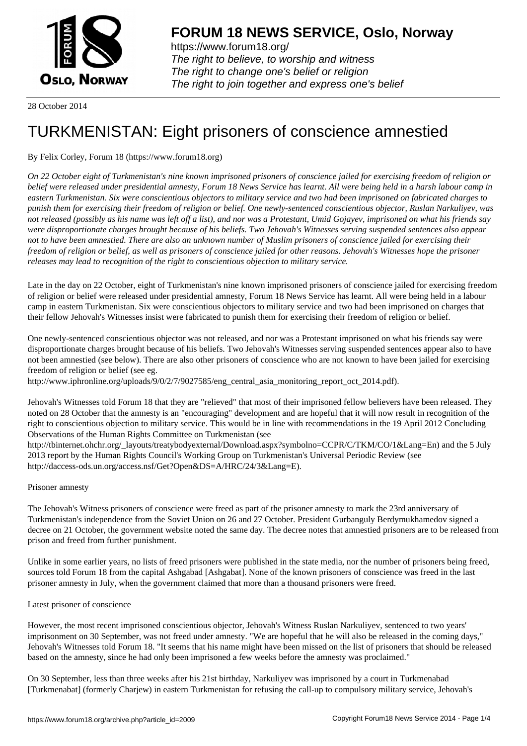

https://www.forum18.org/ The right to believe, to worship and witness The right to change one's belief or religion [The right to join together a](https://www.forum18.org/)nd express one's belief

28 October 2014

## [TURKMENISTA](https://www.forum18.org)N: Eight prisoners of conscience amnestied

## By Felix Corley, Forum 18 (https://www.forum18.org)

*On 22 October eight of Turkmenistan's nine known imprisoned prisoners of conscience jailed for exercising freedom of religion or belief were released under presidential amnesty, Forum 18 News Service has learnt. All were being held in a harsh labour camp in eastern Turkmenistan. Six were conscientious objectors to military service and two had been imprisoned on fabricated charges to punish them for exercising their freedom of religion or belief. One newly-sentenced conscientious objector, Ruslan Narkuliyev, was not released (possibly as his name was left off a list), and nor was a Protestant, Umid Gojayev, imprisoned on what his friends say were disproportionate charges brought because of his beliefs. Two Jehovah's Witnesses serving suspended sentences also appear not to have been amnestied. There are also an unknown number of Muslim prisoners of conscience jailed for exercising their freedom of religion or belief, as well as prisoners of conscience jailed for other reasons. Jehovah's Witnesses hope the prisoner releases may lead to recognition of the right to conscientious objection to military service.*

Late in the day on 22 October, eight of Turkmenistan's nine known imprisoned prisoners of conscience jailed for exercising freedom of religion or belief were released under presidential amnesty, Forum 18 News Service has learnt. All were being held in a labour camp in eastern Turkmenistan. Six were conscientious objectors to military service and two had been imprisoned on charges that their fellow Jehovah's Witnesses insist were fabricated to punish them for exercising their freedom of religion or belief.

One newly-sentenced conscientious objector was not released, and nor was a Protestant imprisoned on what his friends say were disproportionate charges brought because of his beliefs. Two Jehovah's Witnesses serving suspended sentences appear also to have not been amnestied (see below). There are also other prisoners of conscience who are not known to have been jailed for exercising freedom of religion or belief (see eg.

http://www.iphronline.org/uploads/9/0/2/7/9027585/eng\_central\_asia\_monitoring\_report\_oct\_2014.pdf).

Jehovah's Witnesses told Forum 18 that they are "relieved" that most of their imprisoned fellow believers have been released. They noted on 28 October that the amnesty is an "encouraging" development and are hopeful that it will now result in recognition of the right to conscientious objection to military service. This would be in line with recommendations in the 19 April 2012 Concluding Observations of the Human Rights Committee on Turkmenistan (see

http://tbinternet.ohchr.org/\_layouts/treatybodyexternal/Download.aspx?symbolno=CCPR/C/TKM/CO/1&Lang=En) and the 5 July 2013 report by the Human Rights Council's Working Group on Turkmenistan's Universal Periodic Review (see http://daccess-ods.un.org/access.nsf/Get?Open&DS=A/HRC/24/3&Lang=E).

## Prisoner amnesty

The Jehovah's Witness prisoners of conscience were freed as part of the prisoner amnesty to mark the 23rd anniversary of Turkmenistan's independence from the Soviet Union on 26 and 27 October. President Gurbanguly Berdymukhamedov signed a decree on 21 October, the government website noted the same day. The decree notes that amnestied prisoners are to be released from prison and freed from further punishment.

Unlike in some earlier years, no lists of freed prisoners were published in the state media, nor the number of prisoners being freed, sources told Forum 18 from the capital Ashgabad [Ashgabat]. None of the known prisoners of conscience was freed in the last prisoner amnesty in July, when the government claimed that more than a thousand prisoners were freed.

## Latest prisoner of conscience

However, the most recent imprisoned conscientious objector, Jehovah's Witness Ruslan Narkuliyev, sentenced to two years' imprisonment on 30 September, was not freed under amnesty. "We are hopeful that he will also be released in the coming days," Jehovah's Witnesses told Forum 18. "It seems that his name might have been missed on the list of prisoners that should be released based on the amnesty, since he had only been imprisoned a few weeks before the amnesty was proclaimed."

On 30 September, less than three weeks after his 21st birthday, Narkuliyev was imprisoned by a court in Turkmenabad [Turkmenabat] (formerly Charjew) in eastern Turkmenistan for refusing the call-up to compulsory military service, Jehovah's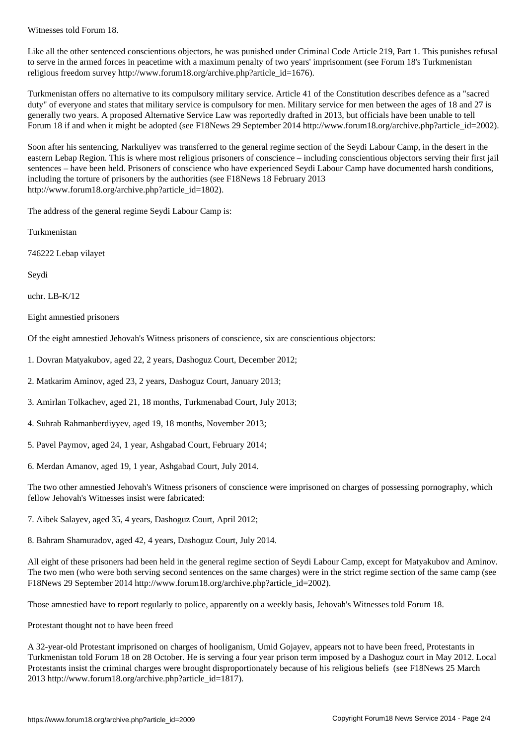Like all the other sentenced conscientious objectors, he was punished under Criminal Code Article 219, Part 1. This punishes refusal to serve in the armed forces in peacetime with a maximum penalty of two years' imprisonment (see Forum 18's Turkmenistan religious freedom survey http://www.forum18.org/archive.php?article\_id=1676).

Turkmenistan offers no alternative to its compulsory military service. Article 41 of the Constitution describes defence as a "sacred duty" of everyone and states that military service is compulsory for men. Military service for men between the ages of 18 and 27 is generally two years. A proposed Alternative Service Law was reportedly drafted in 2013, but officials have been unable to tell Forum 18 if and when it might be adopted (see F18News 29 September 2014 http://www.forum18.org/archive.php?article\_id=2002).

Soon after his sentencing, Narkuliyev was transferred to the general regime section of the Seydi Labour Camp, in the desert in the eastern Lebap Region. This is where most religious prisoners of conscience – including conscientious objectors serving their first jail sentences – have been held. Prisoners of conscience who have experienced Seydi Labour Camp have documented harsh conditions, including the torture of prisoners by the authorities (see F18News 18 February 2013 http://www.forum18.org/archive.php?article\_id=1802).

The address of the general regime Seydi Labour Camp is:

Turkmenistan

746222 Lebap vilayet

Seydi

uchr. LB-K/12

Eight amnestied prisoners

Of the eight amnestied Jehovah's Witness prisoners of conscience, six are conscientious objectors:

- 1. Dovran Matyakubov, aged 22, 2 years, Dashoguz Court, December 2012;
- 2. Matkarim Aminov, aged 23, 2 years, Dashoguz Court, January 2013;
- 3. Amirlan Tolkachev, aged 21, 18 months, Turkmenabad Court, July 2013;
- 4. Suhrab Rahmanberdiyyev, aged 19, 18 months, November 2013;
- 5. Pavel Paymov, aged 24, 1 year, Ashgabad Court, February 2014;
- 6. Merdan Amanov, aged 19, 1 year, Ashgabad Court, July 2014.

The two other amnestied Jehovah's Witness prisoners of conscience were imprisoned on charges of possessing pornography, which fellow Jehovah's Witnesses insist were fabricated:

7. Aibek Salayev, aged 35, 4 years, Dashoguz Court, April 2012;

8. Bahram Shamuradov, aged 42, 4 years, Dashoguz Court, July 2014.

All eight of these prisoners had been held in the general regime section of Seydi Labour Camp, except for Matyakubov and Aminov. The two men (who were both serving second sentences on the same charges) were in the strict regime section of the same camp (see F18News 29 September 2014 http://www.forum18.org/archive.php?article\_id=2002).

Those amnestied have to report regularly to police, apparently on a weekly basis, Jehovah's Witnesses told Forum 18.

Protestant thought not to have been freed

A 32-year-old Protestant imprisoned on charges of hooliganism, Umid Gojayev, appears not to have been freed, Protestants in Turkmenistan told Forum 18 on 28 October. He is serving a four year prison term imposed by a Dashoguz court in May 2012. Local Protestants insist the criminal charges were brought disproportionately because of his religious beliefs (see F18News 25 March 2013 http://www.forum18.org/archive.php?article\_id=1817).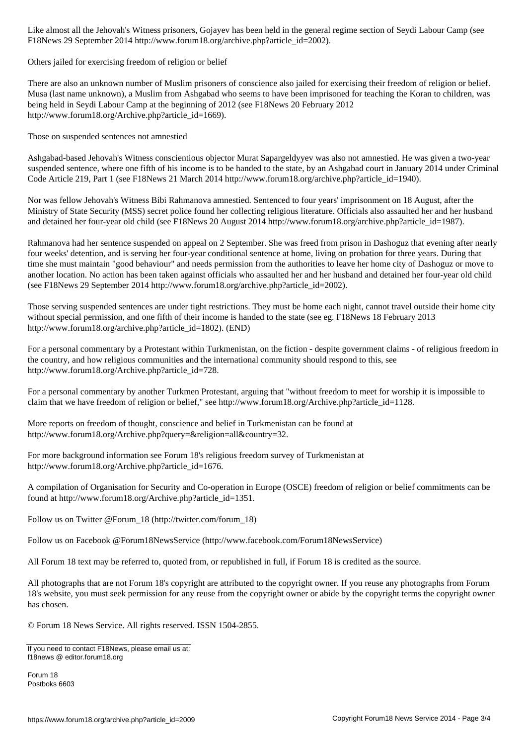Figure 2014 http://www.forumlar.com/september 2014 http://www.forumlar.com/september 2002.

Others jailed for exercising freedom of religion or belief

There are also an unknown number of Muslim prisoners of conscience also jailed for exercising their freedom of religion or belief. Musa (last name unknown), a Muslim from Ashgabad who seems to have been imprisoned for teaching the Koran to children, was being held in Seydi Labour Camp at the beginning of 2012 (see F18News 20 February 2012 http://www.forum18.org/Archive.php?article\_id=1669).

Those on suspended sentences not amnestied

Ashgabad-based Jehovah's Witness conscientious objector Murat Sapargeldyyev was also not amnestied. He was given a two-year suspended sentence, where one fifth of his income is to be handed to the state, by an Ashgabad court in January 2014 under Criminal Code Article 219, Part 1 (see F18News 21 March 2014 http://www.forum18.org/archive.php?article\_id=1940).

Nor was fellow Jehovah's Witness Bibi Rahmanova amnestied. Sentenced to four years' imprisonment on 18 August, after the Ministry of State Security (MSS) secret police found her collecting religious literature. Officials also assaulted her and her husband and detained her four-year old child (see F18News 20 August 2014 http://www.forum18.org/archive.php?article\_id=1987).

Rahmanova had her sentence suspended on appeal on 2 September. She was freed from prison in Dashoguz that evening after nearly four weeks' detention, and is serving her four-year conditional sentence at home, living on probation for three years. During that time she must maintain "good behaviour" and needs permission from the authorities to leave her home city of Dashoguz or move to another location. No action has been taken against officials who assaulted her and her husband and detained her four-year old child (see F18News 29 September 2014 http://www.forum18.org/archive.php?article\_id=2002).

Those serving suspended sentences are under tight restrictions. They must be home each night, cannot travel outside their home city without special permission, and one fifth of their income is handed to the state (see eg. F18News 18 February 2013 http://www.forum18.org/archive.php?article\_id=1802). (END)

For a personal commentary by a Protestant within Turkmenistan, on the fiction - despite government claims - of religious freedom in the country, and how religious communities and the international community should respond to this, see http://www.forum18.org/Archive.php?article\_id=728.

For a personal commentary by another Turkmen Protestant, arguing that "without freedom to meet for worship it is impossible to claim that we have freedom of religion or belief," see http://www.forum18.org/Archive.php?article\_id=1128.

More reports on freedom of thought, conscience and belief in Turkmenistan can be found at http://www.forum18.org/Archive.php?query=&religion=all&country=32.

For more background information see Forum 18's religious freedom survey of Turkmenistan at http://www.forum18.org/Archive.php?article\_id=1676.

A compilation of Organisation for Security and Co-operation in Europe (OSCE) freedom of religion or belief commitments can be found at http://www.forum18.org/Archive.php?article\_id=1351.

Follow us on Twitter @Forum\_18 (http://twitter.com/forum\_18)

Follow us on Facebook @Forum18NewsService (http://www.facebook.com/Forum18NewsService)

All Forum 18 text may be referred to, quoted from, or republished in full, if Forum 18 is credited as the source.

All photographs that are not Forum 18's copyright are attributed to the copyright owner. If you reuse any photographs from Forum 18's website, you must seek permission for any reuse from the copyright owner or abide by the copyright terms the copyright owner has chosen.

© Forum 18 News Service. All rights reserved. ISSN 1504-2855.

If you need to contact F18News, please email us at: f18news @ editor.forum18.org

Forum 18 Postboks 6603